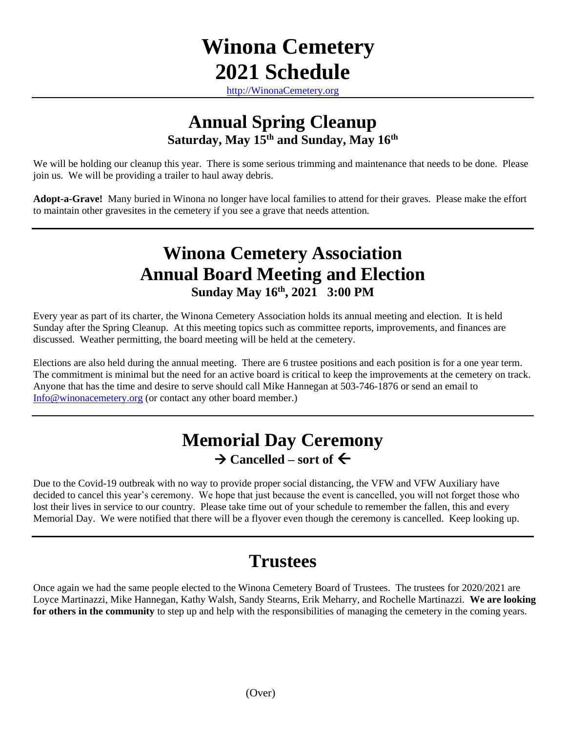# **Winona Cemetery 2021 Schedule**

[http://WinonaCemetery.org](http://winonacemetery.org/)

#### **Annual Spring Cleanup Saturday, May 15 th and Sunday, May 16 th**

We will be holding our cleanup this year. There is some serious trimming and maintenance that needs to be done. Please join us. We will be providing a trailer to haul away debris.

**Adopt-a-Grave!** Many buried in Winona no longer have local families to attend for their graves. Please make the effort to maintain other gravesites in the cemetery if you see a grave that needs attention.

# **Winona Cemetery Association Annual Board Meeting and Election Sunday May 16 th , 2021 3:00 PM**

Every year as part of its charter, the Winona Cemetery Association holds its annual meeting and election. It is held Sunday after the Spring Cleanup. At this meeting topics such as committee reports, improvements, and finances are discussed. Weather permitting, the board meeting will be held at the cemetery.

Elections are also held during the annual meeting. There are 6 trustee positions and each position is for a one year term. The commitment is minimal but the need for an active board is critical to keep the improvements at the cemetery on track. Anyone that has the time and desire to serve should call Mike Hannegan at 503-746-1876 or send an email to [Info@winonacemetery.org](mailto:Info@winonacemetery.org) (or contact any other board member.)

### **Memorial Day Ceremony**  $\rightarrow$  Cancelled – sort of  $\leftarrow$

Due to the Covid-19 outbreak with no way to provide proper social distancing, the VFW and VFW Auxiliary have decided to cancel this year's ceremony. We hope that just because the event is cancelled, you will not forget those who lost their lives in service to our country. Please take time out of your schedule to remember the fallen, this and every Memorial Day. We were notified that there will be a flyover even though the ceremony is cancelled. Keep looking up.

# **Trustees**

Once again we had the same people elected to the Winona Cemetery Board of Trustees. The trustees for 2020/2021 are Loyce Martinazzi, Mike Hannegan, Kathy Walsh, Sandy Stearns, Erik Meharry, and Rochelle Martinazzi. **We are looking for others in the community** to step up and help with the responsibilities of managing the cemetery in the coming years.